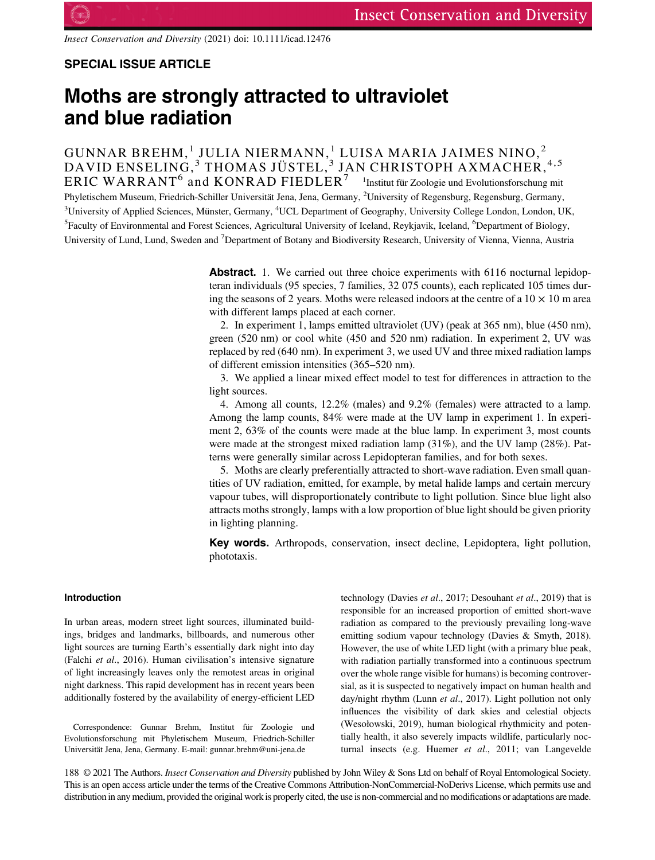Insect Conservation and Diversity (2021) doi: 10.1111/icad.12476

## SPECIAL ISSUE ARTICLE

# Moths are strongly attracted to ultraviolet and blue radiation

GUNNAR BREHM, $^{1}$  JULIA NIERMANN, $^{1}$  LUISA MARIA JAIMES NINO, $^{2}$ DAVID ENSELING, $^3$  THOMAS JÜSTEL, $^3$  JAN CHRISTOPH AXMACHER, $^{4,5}$  $\texttt{ERIC WARANT}^6$  and  $\texttt{KONRAD FIEDLER}^7$   $^{-1}$ Institut für Zoologie und Evolutionsforschung mit Phyletischem Museum, Friedrich-Schiller Universität Jena, Jena, Germany, <sup>2</sup>University of Regensburg, Regensburg, Germany, <sup>3</sup>University of Applied Sciences, Münster, Germany, <sup>4</sup>UCL Department of Geography, University College London, London, UK, <sup>5</sup> Faculty of Environmental and Forest Sciences, Agricultural University of Iceland, Reykjavik, Iceland, <sup>6</sup> Department of Biology, University of Lund, Lund, Sweden and <sup>7</sup>Department of Botany and Biodiversity Research, University of Vienna, Vienna, Austria

> Abstract. 1. We carried out three choice experiments with 6116 nocturnal lepidopteran individuals (95 species, 7 families, 32 075 counts), each replicated 105 times during the seasons of 2 years. Moths were released indoors at the centre of a  $10 \times 10$  m area with different lamps placed at each corner.

> 2. In experiment 1, lamps emitted ultraviolet (UV) (peak at 365 nm), blue (450 nm), green (520 nm) or cool white (450 and 520 nm) radiation. In experiment 2, UV was replaced by red (640 nm). In experiment 3, we used UV and three mixed radiation lamps of different emission intensities (365–520 nm).

> 3. We applied a linear mixed effect model to test for differences in attraction to the light sources.

> 4. Among all counts, 12.2% (males) and 9.2% (females) were attracted to a lamp. Among the lamp counts, 84% were made at the UV lamp in experiment 1. In experiment 2, 63% of the counts were made at the blue lamp. In experiment 3, most counts were made at the strongest mixed radiation lamp  $(31\%)$ , and the UV lamp  $(28\%)$ . Patterns were generally similar across Lepidopteran families, and for both sexes.

> 5. Moths are clearly preferentially attracted to short-wave radiation. Even small quantities of UV radiation, emitted, for example, by metal halide lamps and certain mercury vapour tubes, will disproportionately contribute to light pollution. Since blue light also attracts moths strongly, lamps with a low proportion of blue light should be given priority in lighting planning.

> Key words. Arthropods, conservation, insect decline, Lepidoptera, light pollution, phototaxis.

## Introduction

In urban areas, modern street light sources, illuminated buildings, bridges and landmarks, billboards, and numerous other light sources are turning Earth's essentially dark night into day (Falchi et al., 2016). Human civilisation's intensive signature of light increasingly leaves only the remotest areas in original night darkness. This rapid development has in recent years been additionally fostered by the availability of energy-efficient LED

Correspondence: Gunnar Brehm, Institut für Zoologie und Evolutionsforschung mit Phyletischem Museum, Friedrich-Schiller Universität Jena, Jena, Germany. E-mail: [gunnar.brehm@uni-jena.de](mailto:gunnar.brehm@uni-jena.de)

technology (Davies et al., 2017; Desouhant et al., 2019) that is responsible for an increased proportion of emitted short-wave radiation as compared to the previously prevailing long-wave emitting sodium vapour technology (Davies & Smyth, 2018). However, the use of white LED light (with a primary blue peak, with radiation partially transformed into a continuous spectrum over the whole range visible for humans) is becoming controversial, as it is suspected to negatively impact on human health and day/night rhythm (Lunn et al., 2017). Light pollution not only influences the visibility of dark skies and celestial objects (Wesołowski, 2019), human biological rhythmicity and potentially health, it also severely impacts wildlife, particularly nocturnal insects (e.g. Huemer et al., 2011; van Langevelde

188 © 2021 The Authors. Insect Conservation and Diversity published by John Wiley & Sons Ltd on behalf of Royal Entomological Society. This is an open access article under the terms of the [Creative Commons Attribution-NonCommercial-NoDerivs](http://creativecommons.org/licenses/by-nc-nd/4.0/) License, which permits use and distribution in any medium, provided the original work is properly cited, the use is non-commercial and no modifications or adaptations are made.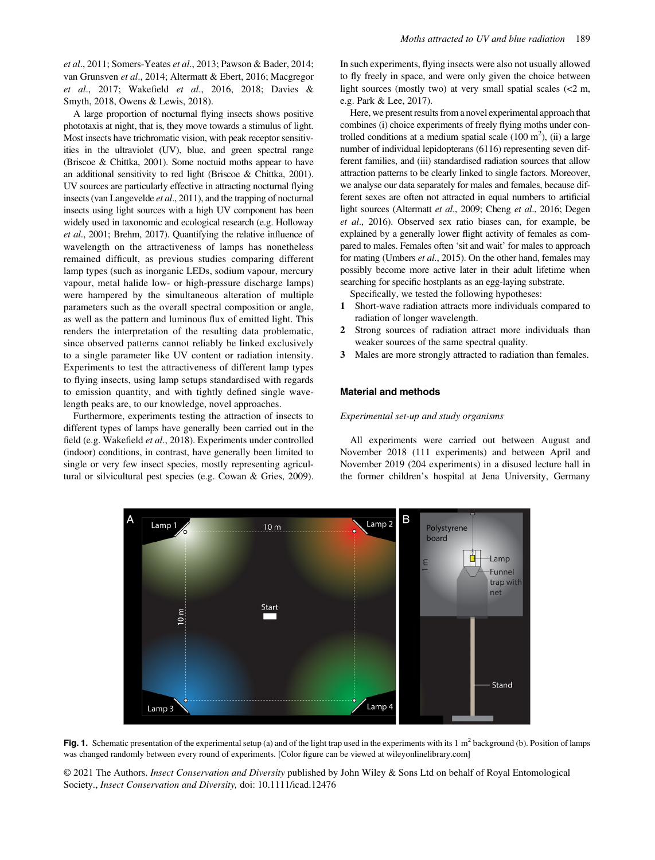et al., 2011; Somers-Yeates et al., 2013; Pawson & Bader, 2014; van Grunsven et al., 2014; Altermatt & Ebert, 2016; Macgregor et al., 2017; Wakefield et al., 2016, 2018; Davies & Smyth, 2018, Owens & Lewis, 2018).

A large proportion of nocturnal flying insects shows positive phototaxis at night, that is, they move towards a stimulus of light. Most insects have trichromatic vision, with peak receptor sensitivities in the ultraviolet (UV), blue, and green spectral range (Briscoe & Chittka, 2001). Some noctuid moths appear to have an additional sensitivity to red light (Briscoe & Chittka, 2001). UV sources are particularly effective in attracting nocturnal flying insects (van Langevelde et al., 2011), and the trapping of nocturnal insects using light sources with a high UV component has been widely used in taxonomic and ecological research (e.g. Holloway et al., 2001; Brehm, 2017). Quantifying the relative influence of wavelength on the attractiveness of lamps has nonetheless remained difficult, as previous studies comparing different lamp types (such as inorganic LEDs, sodium vapour, mercury vapour, metal halide low- or high-pressure discharge lamps) were hampered by the simultaneous alteration of multiple parameters such as the overall spectral composition or angle, as well as the pattern and luminous flux of emitted light. This renders the interpretation of the resulting data problematic, since observed patterns cannot reliably be linked exclusively to a single parameter like UV content or radiation intensity. Experiments to test the attractiveness of different lamp types to flying insects, using lamp setups standardised with regards to emission quantity, and with tightly defined single wavelength peaks are, to our knowledge, novel approaches.

Furthermore, experiments testing the attraction of insects to different types of lamps have generally been carried out in the field (e.g. Wakefield et al., 2018). Experiments under controlled (indoor) conditions, in contrast, have generally been limited to single or very few insect species, mostly representing agricultural or silvicultural pest species (e.g. Cowan & Gries, 2009).

In such experiments, flying insects were also not usually allowed to fly freely in space, and were only given the choice between light sources (mostly two) at very small spatial scales  $\ll 2$  m, e.g. Park & Lee, 2017).

Here, we present results from a novel experimental approach that combines (i) choice experiments of freely flying moths under controlled conditions at a medium spatial scale  $(100 \text{ m}^2)$ , (ii) a large number of individual lepidopterans (6116) representing seven different families, and (iii) standardised radiation sources that allow attraction patterns to be clearly linked to single factors. Moreover, we analyse our data separately for males and females, because different sexes are often not attracted in equal numbers to artificial light sources (Altermatt et al., 2009; Cheng et al., 2016; Degen et al., 2016). Observed sex ratio biases can, for example, be explained by a generally lower flight activity of females as compared to males. Females often 'sit and wait' for males to approach for mating (Umbers *et al.*, 2015). On the other hand, females may possibly become more active later in their adult lifetime when searching for specific hostplants as an egg-laying substrate.

Specifically, we tested the following hypotheses:

- 1 Short-wave radiation attracts more individuals compared to radiation of longer wavelength.
- 2 Strong sources of radiation attract more individuals than weaker sources of the same spectral quality.
- 3 Males are more strongly attracted to radiation than females.

## Material and methods

#### Experimental set-up and study organisms

All experiments were carried out between August and November 2018 (111 experiments) and between April and November 2019 (204 experiments) in a disused lecture hall in the former children's hospital at Jena University, Germany



Fig. 1. Schematic presentation of the experimental setup (a) and of the light trap used in the experiments with its  $1 \text{ m}^2$  background (b). Position of lamps was changed randomly between every round of experiments. [Color figure can be viewed at [wileyonlinelibrary.com](http://wileyonlinelibrary.com)]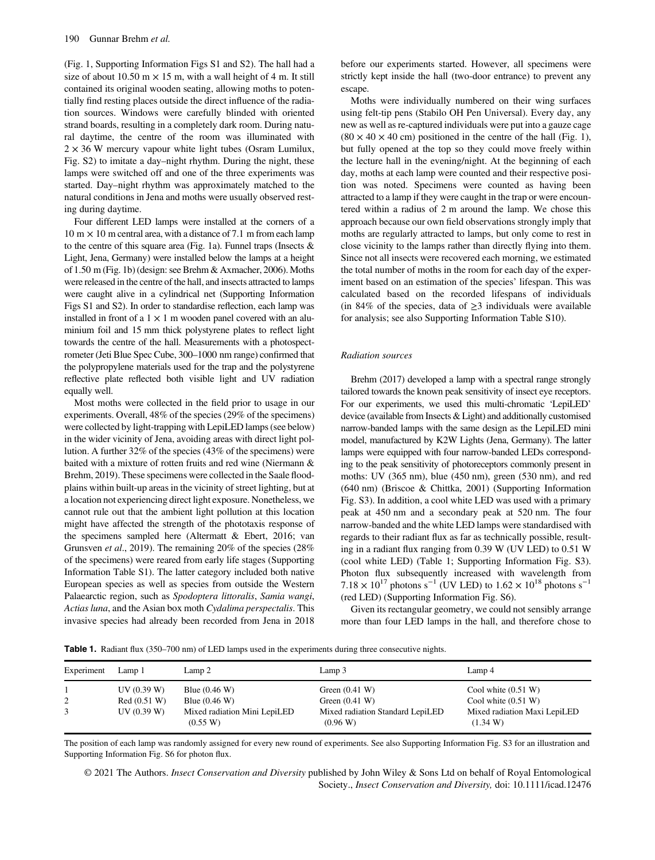(Fig. 1, Supporting Information Figs S1 and S2). The hall had a size of about 10.50 m  $\times$  15 m, with a wall height of 4 m. It still contained its original wooden seating, allowing moths to potentially find resting places outside the direct influence of the radiation sources. Windows were carefully blinded with oriented strand boards, resulting in a completely dark room. During natural daytime, the centre of the room was illuminated with  $2 \times 36$  W mercury vapour white light tubes (Osram Lumilux, Fig. S2) to imitate a day–night rhythm. During the night, these lamps were switched off and one of the three experiments was started. Day–night rhythm was approximately matched to the natural conditions in Jena and moths were usually observed resting during daytime.

Four different LED lamps were installed at the corners of a  $10 \text{ m} \times 10 \text{ m}$  central area, with a distance of 7.1 m from each lamp to the centre of this square area (Fig. 1a). Funnel traps (Insects & Light, Jena, Germany) were installed below the lamps at a height of 1.50 m (Fig. 1b) (design: see Brehm & Axmacher, 2006). Moths were released in the centre of the hall, and insects attracted to lamps were caught alive in a cylindrical net (Supporting Information Figs S1 and S2). In order to standardise reflection, each lamp was installed in front of a  $1 \times 1$  m wooden panel covered with an aluminium foil and 15 mm thick polystyrene plates to reflect light towards the centre of the hall. Measurements with a photospectrometer (Jeti Blue Spec Cube, 300–1000 nm range) confirmed that the polypropylene materials used for the trap and the polystyrene reflective plate reflected both visible light and UV radiation equally well.

Most moths were collected in the field prior to usage in our experiments. Overall, 48% of the species (29% of the specimens) were collected by light-trapping with LepiLED lamps (see below) in the wider vicinity of Jena, avoiding areas with direct light pollution. A further 32% of the species (43% of the specimens) were baited with a mixture of rotten fruits and red wine (Niermann & Brehm, 2019). These specimens were collected in the Saale floodplains within built-up areas in the vicinity of street lighting, but at a location not experiencing direct light exposure. Nonetheless, we cannot rule out that the ambient light pollution at this location might have affected the strength of the phototaxis response of the specimens sampled here (Altermatt & Ebert, 2016; van Grunsven et al., 2019). The remaining 20% of the species (28%) of the specimens) were reared from early life stages (Supporting Information Table S1). The latter category included both native European species as well as species from outside the Western Palaearctic region, such as Spodoptera littoralis, Samia wangi, Actias luna, and the Asian box moth Cydalima perspectalis. This invasive species had already been recorded from Jena in 2018 before our experiments started. However, all specimens were strictly kept inside the hall (two-door entrance) to prevent any escape.

Moths were individually numbered on their wing surfaces using felt-tip pens (Stabilo OH Pen Universal). Every day, any new as well as re-captured individuals were put into a gauze cage  $(80 \times 40 \times 40 \text{ cm})$  positioned in the centre of the hall (Fig. 1), but fully opened at the top so they could move freely within the lecture hall in the evening/night. At the beginning of each day, moths at each lamp were counted and their respective position was noted. Specimens were counted as having been attracted to a lamp if they were caught in the trap or were encountered within a radius of 2 m around the lamp. We chose this approach because our own field observations strongly imply that moths are regularly attracted to lamps, but only come to rest in close vicinity to the lamps rather than directly flying into them. Since not all insects were recovered each morning, we estimated the total number of moths in the room for each day of the experiment based on an estimation of the species' lifespan. This was calculated based on the recorded lifespans of individuals (in 84% of the species, data of  $\geq$ 3 individuals were available for analysis; see also Supporting Information Table S10).

## Radiation sources

Brehm (2017) developed a lamp with a spectral range strongly tailored towards the known peak sensitivity of insect eye receptors. For our experiments, we used this multi-chromatic 'LepiLED' device (available from Insects & Light) and additionally customised narrow-banded lamps with the same design as the LepiLED mini model, manufactured by K2W Lights (Jena, Germany). The latter lamps were equipped with four narrow-banded LEDs corresponding to the peak sensitivity of photoreceptors commonly present in moths: UV (365 nm), blue (450 nm), green (530 nm), and red (640 nm) (Briscoe & Chittka, 2001) (Supporting Information Fig. S3). In addition, a cool white LED was used with a primary peak at 450 nm and a secondary peak at 520 nm. The four narrow-banded and the white LED lamps were standardised with regards to their radiant flux as far as technically possible, resulting in a radiant flux ranging from 0.39 W (UV LED) to 0.51 W (cool white LED) (Table 1; Supporting Information Fig. S3). Photon flux subsequently increased with wavelength from  $7.18 \times 10^{17}$  photons s<sup>-1</sup> (UV LED) to  $1.62 \times 10^{18}$  photons s<sup>-1</sup> (red LED) (Supporting Information Fig. S6).

Given its rectangular geometry, we could not sensibly arrange more than four LED lamps in the hall, and therefore chose to

Table 1. Radiant flux (350–700 nm) of LED lamps used in the experiments during three consecutive nights.

| Experiment | Lamp 1       | Lamp 2                                   | Lamp $3$                                     | Lamp 4                                   |
|------------|--------------|------------------------------------------|----------------------------------------------|------------------------------------------|
|            | UV(0.39 W)   | Blue $(0.46 \text{ W})$                  | Green $(0.41 W)$                             | Cool white $(0.51 W)$                    |
| 2          | Red (0.51 W) | Blue $(0.46 W)$                          | Green $(0.41 W)$                             | Cool white $(0.51 W)$                    |
| 3          | UV(0.39 W)   | Mixed radiation Mini LepiLED<br>(0.55 W) | Mixed radiation Standard LepiLED<br>(0.96 W) | Mixed radiation Maxi LepiLED<br>(1.34 W) |

The position of each lamp was randomly assigned for every new round of experiments. See also Supporting Information Fig. S3 for an illustration and Supporting Information Fig. S6 for photon flux.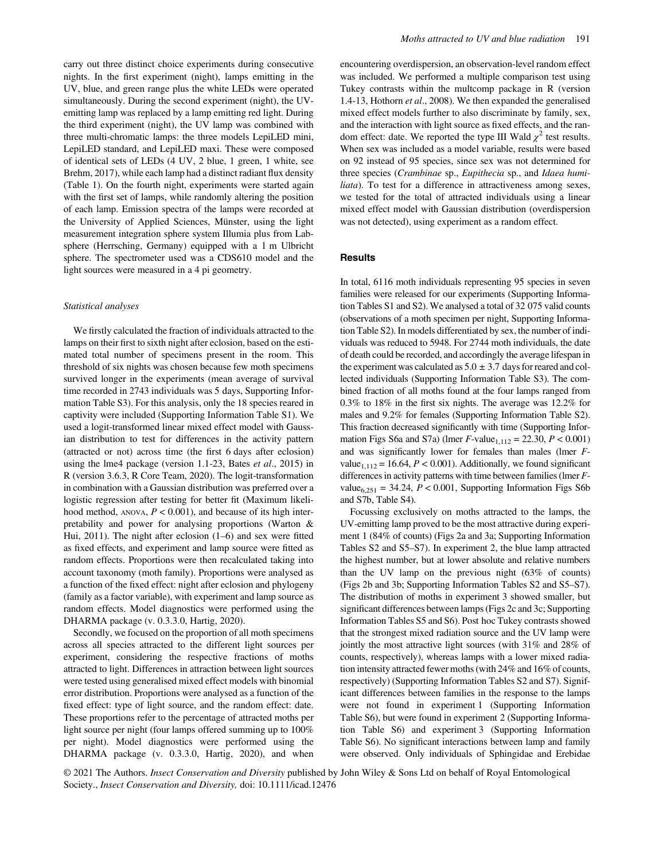carry out three distinct choice experiments during consecutive nights. In the first experiment (night), lamps emitting in the UV, blue, and green range plus the white LEDs were operated simultaneously. During the second experiment (night), the UVemitting lamp was replaced by a lamp emitting red light. During the third experiment (night), the UV lamp was combined with three multi-chromatic lamps: the three models LepiLED mini, LepiLED standard, and LepiLED maxi. These were composed of identical sets of LEDs (4 UV, 2 blue, 1 green, 1 white, see Brehm, 2017), while each lamp had a distinct radiant flux density (Table 1). On the fourth night, experiments were started again with the first set of lamps, while randomly altering the position of each lamp. Emission spectra of the lamps were recorded at the University of Applied Sciences, Münster, using the light measurement integration sphere system Illumia plus from Labsphere (Herrsching, Germany) equipped with a 1 m Ulbricht sphere. The spectrometer used was a CDS610 model and the light sources were measured in a 4 pi geometry.

#### Statistical analyses

We firstly calculated the fraction of individuals attracted to the lamps on their first to sixth night after eclosion, based on the estimated total number of specimens present in the room. This threshold of six nights was chosen because few moth specimens survived longer in the experiments (mean average of survival time recorded in 2743 individuals was 5 days, Supporting Information Table S3). For this analysis, only the 18 species reared in captivity were included (Supporting Information Table S1). We used a logit-transformed linear mixed effect model with Gaussian distribution to test for differences in the activity pattern (attracted or not) across time (the first 6 days after eclosion) using the lme4 package (version 1.1-23, Bates et al., 2015) in R (version 3.6.3, R Core Team, 2020). The logit-transformation in combination with a Gaussian distribution was preferred over a logistic regression after testing for better fit (Maximum likelihood method, ANOVA,  $P < 0.001$ ), and because of its high interpretability and power for analysing proportions (Warton & Hui, 2011). The night after eclosion (1–6) and sex were fitted as fixed effects, and experiment and lamp source were fitted as random effects. Proportions were then recalculated taking into account taxonomy (moth family). Proportions were analysed as a function of the fixed effect: night after eclosion and phylogeny (family as a factor variable), with experiment and lamp source as random effects. Model diagnostics were performed using the DHARMA package (v. 0.3.3.0, Hartig, 2020).

Secondly, we focused on the proportion of all moth specimens across all species attracted to the different light sources per experiment, considering the respective fractions of moths attracted to light. Differences in attraction between light sources were tested using generalised mixed effect models with binomial error distribution. Proportions were analysed as a function of the fixed effect: type of light source, and the random effect: date. These proportions refer to the percentage of attracted moths per light source per night (four lamps offered summing up to  $100\%$ per night). Model diagnostics were performed using the DHARMA package (v. 0.3.3.0, Hartig, 2020), and when encountering overdispersion, an observation-level random effect was included. We performed a multiple comparison test using Tukey contrasts within the multcomp package in R (version 1.4-13, Hothorn et al., 2008). We then expanded the generalised mixed effect models further to also discriminate by family, sex, and the interaction with light source as fixed effects, and the random effect: date. We reported the type III Wald  $\chi^2$  test results. When sex was included as a model variable, results were based on 92 instead of 95 species, since sex was not determined for three species (Crambinae sp., Eupithecia sp., and Idaea humiliata). To test for a difference in attractiveness among sexes, we tested for the total of attracted individuals using a linear mixed effect model with Gaussian distribution (overdispersion was not detected), using experiment as a random effect.

## **Results**

In total, 6116 moth individuals representing 95 species in seven families were released for our experiments (Supporting Information Tables S1 and S2). We analysed a total of 32 075 valid counts (observations of a moth specimen per night, Supporting Information Table S2). In models differentiated by sex, the number of individuals was reduced to 5948. For 2744 moth individuals, the date of death could be recorded, and accordingly the average lifespan in the experiment was calculated as  $5.0 \pm 3.7$  days for reared and collected individuals (Supporting Information Table S3). The combined fraction of all moths found at the four lamps ranged from 0.3% to 18% in the first six nights. The average was 12.2% for males and 9.2% for females (Supporting Information Table S2). This fraction decreased significantly with time (Supporting Information Figs S6a and S7a) (lmer  $F$ -value<sub>1,112</sub> = 22.30,  $P < 0.001$ ) and was significantly lower for females than males (lmer Fvalue<sub>1,112</sub> = 16.64,  $P < 0.001$ ). Additionally, we found significant differences in activity patterns with time between families (lmer Fvalue $_{6,251}$  = 34.24,  $P < 0.001$ , Supporting Information Figs S6b and S7b, Table S4).

Focussing exclusively on moths attracted to the lamps, the UV-emitting lamp proved to be the most attractive during experiment 1 (84% of counts) (Figs 2a and 3a; Supporting Information Tables S2 and S5–S7). In experiment 2, the blue lamp attracted the highest number, but at lower absolute and relative numbers than the UV lamp on the previous night (63% of counts) (Figs 2b and 3b; Supporting Information Tables S2 and S5–S7). The distribution of moths in experiment 3 showed smaller, but significant differences between lamps (Figs 2c and 3c; Supporting Information Tables S5 and S6). Post hoc Tukey contrasts showed that the strongest mixed radiation source and the UV lamp were jointly the most attractive light sources (with 31% and 28% of counts, respectively), whereas lamps with a lower mixed radiation intensity attracted fewer moths (with 24% and 16% of counts, respectively) (Supporting Information Tables S2 and S7). Significant differences between families in the response to the lamps were not found in experiment 1 (Supporting Information Table S6), but were found in experiment 2 (Supporting Information Table S6) and experiment 3 (Supporting Information Table S6). No significant interactions between lamp and family were observed. Only individuals of Sphingidae and Erebidae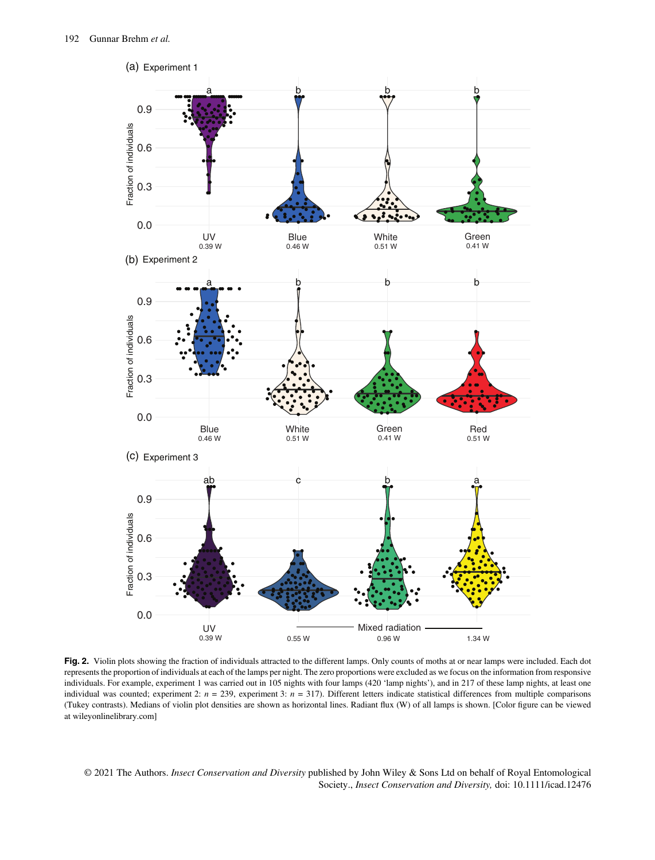

Fig. 2. Violin plots showing the fraction of individuals attracted to the different lamps. Only counts of moths at or near lamps were included. Each dot represents the proportion of individuals at each of the lamps per night. The zero proportions were excluded as we focus on the information from responsive individuals. For example, experiment 1 was carried out in 105 nights with four lamps (420 'lamp nights'), and in 217 of these lamp nights, at least one individual was counted; experiment 2:  $n = 239$ , experiment 3:  $n = 317$ ). Different letters indicate statistical differences from multiple comparisons (Tukey contrasts). Medians of violin plot densities are shown as horizontal lines. Radiant flux (W) of all lamps is shown. [Color figure can be viewed at [wileyonlinelibrary.com](http://wileyonlinelibrary.com)]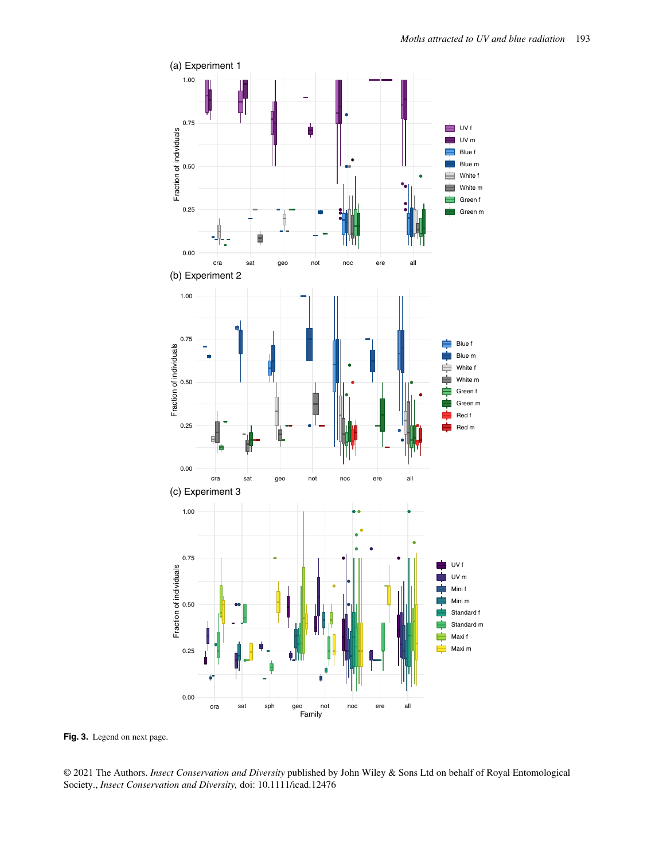

Fig. 3. Legend on next page.

© 2021 The Authors. Insect Conservation and Diversity published by John Wiley & Sons Ltd on behalf of Royal Entomological Society., Insect Conservation and Diversity, doi: 10.1111/icad.12476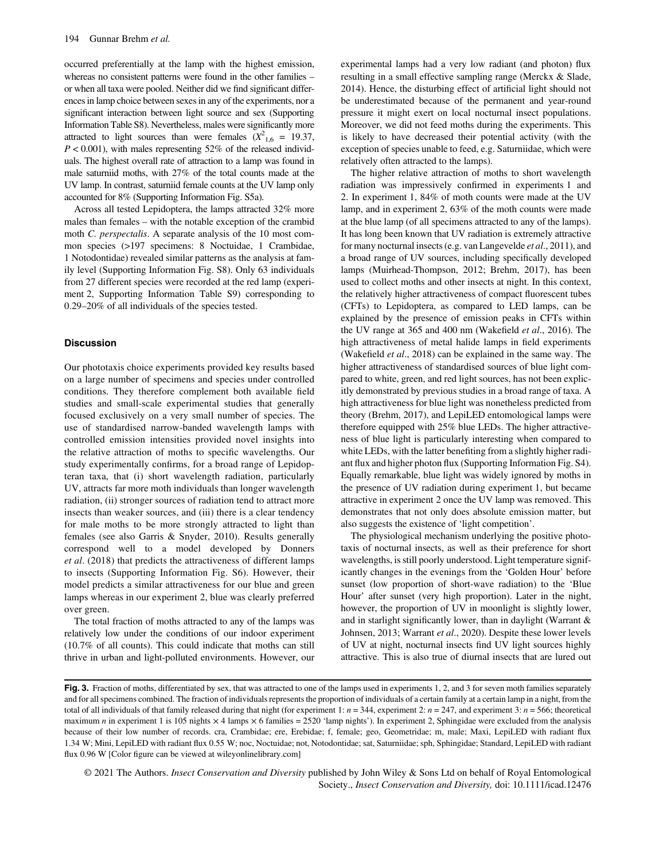occurred preferentially at the lamp with the highest emission, whereas no consistent patterns were found in the other families – or when all taxa were pooled. Neither did we find significant differences in lamp choice between sexes in any of the experiments, nor a significant interaction between light source and sex (Supporting Information Table S8). Nevertheless, males were significantly more attracted to light sources than were females  $(X^2)_{1,6} = 19.37$ ,  $P < 0.001$ ), with males representing 52% of the released individuals. The highest overall rate of attraction to a lamp was found in male saturniid moths, with 27% of the total counts made at the UV lamp. In contrast, saturniid female counts at the UV lamp only accounted for 8% (Supporting Information Fig. S5a).

Across all tested Lepidoptera, the lamps attracted 32% more males than females – with the notable exception of the crambid moth C. perspectalis. A separate analysis of the 10 most common species (>197 specimens: 8 Noctuidae, 1 Crambidae, 1 Notodontidae) revealed similar patterns as the analysis at family level (Supporting Information Fig. S8). Only 63 individuals from 27 different species were recorded at the red lamp (experiment 2, Supporting Information Table S9) corresponding to 0.29–20% of all individuals of the species tested.

### **Discussion**

Our phototaxis choice experiments provided key results based on a large number of specimens and species under controlled conditions. They therefore complement both available field studies and small-scale experimental studies that generally focused exclusively on a very small number of species. The use of standardised narrow-banded wavelength lamps with controlled emission intensities provided novel insights into the relative attraction of moths to specific wavelengths. Our study experimentally confirms, for a broad range of Lepidopteran taxa, that (i) short wavelength radiation, particularly UV, attracts far more moth individuals than longer wavelength radiation, (ii) stronger sources of radiation tend to attract more insects than weaker sources, and (iii) there is a clear tendency for male moths to be more strongly attracted to light than females (see also Garris & Snyder, 2010). Results generally correspond well to a model developed by Donners et al. (2018) that predicts the attractiveness of different lamps to insects (Supporting Information Fig. S6). However, their model predicts a similar attractiveness for our blue and green lamps whereas in our experiment 2, blue was clearly preferred over green.

The total fraction of moths attracted to any of the lamps was relatively low under the conditions of our indoor experiment (10.7% of all counts). This could indicate that moths can still thrive in urban and light-polluted environments. However, our experimental lamps had a very low radiant (and photon) flux resulting in a small effective sampling range (Merckx & Slade, 2014). Hence, the disturbing effect of artificial light should not be underestimated because of the permanent and year-round pressure it might exert on local nocturnal insect populations. Moreover, we did not feed moths during the experiments. This is likely to have decreased their potential activity (with the exception of species unable to feed, e.g. Saturniidae, which were relatively often attracted to the lamps).

The higher relative attraction of moths to short wavelength radiation was impressively confirmed in experiments 1 and 2. In experiment 1, 84% of moth counts were made at the UV lamp, and in experiment 2, 63% of the moth counts were made at the blue lamp (of all specimens attracted to any of the lamps). It has long been known that UV radiation is extremely attractive for many nocturnal insects (e.g. van Langevelde et al., 2011), and a broad range of UV sources, including specifically developed lamps (Muirhead-Thompson, 2012; Brehm, 2017), has been used to collect moths and other insects at night. In this context, the relatively higher attractiveness of compact fluorescent tubes (CFTs) to Lepidoptera, as compared to LED lamps, can be explained by the presence of emission peaks in CFTs within the UV range at 365 and 400 nm (Wakefield et al., 2016). The high attractiveness of metal halide lamps in field experiments (Wakefield et al., 2018) can be explained in the same way. The higher attractiveness of standardised sources of blue light compared to white, green, and red light sources, has not been explicitly demonstrated by previous studies in a broad range of taxa. A high attractiveness for blue light was nonetheless predicted from theory (Brehm, 2017), and LepiLED entomological lamps were therefore equipped with 25% blue LEDs. The higher attractiveness of blue light is particularly interesting when compared to white LEDs, with the latter benefiting from a slightly higher radiant flux and higher photon flux (Supporting Information Fig. S4). Equally remarkable, blue light was widely ignored by moths in the presence of UV radiation during experiment 1, but became attractive in experiment 2 once the UV lamp was removed. This demonstrates that not only does absolute emission matter, but also suggests the existence of 'light competition'.

The physiological mechanism underlying the positive phototaxis of nocturnal insects, as well as their preference for short wavelengths, is still poorly understood. Light temperature significantly changes in the evenings from the 'Golden Hour' before sunset (low proportion of short-wave radiation) to the 'Blue Hour' after sunset (very high proportion). Later in the night, however, the proportion of UV in moonlight is slightly lower, and in starlight significantly lower, than in daylight (Warrant & Johnsen, 2013; Warrant et al., 2020). Despite these lower levels of UV at night, nocturnal insects find UV light sources highly attractive. This is also true of diurnal insects that are lured out

Fig. 3. Fraction of moths, differentiated by sex, that was attracted to one of the lamps used in experiments 1, 2, and 3 for seven moth families separately and for all specimens combined. The fraction of individuals represents the proportion of individuals of a certain family at a certain lamp in a night, from the total of all individuals of that family released during that night (for experiment 1:  $n = 344$ , experiment 2:  $n = 247$ , and experiment 3:  $n = 566$ ; theoretical maximum n in experiment 1 is 105 nights  $\times$  4 lamps  $\times$  6 families = 2520 'lamp nights'). In experiment 2, Sphingidae were excluded from the analysis because of their low number of records. cra, Crambidae; ere, Erebidae; f, female; geo, Geometridae; m, male; Maxi, LepiLED with radiant flux 1.34 W; Mini, LepiLED with radiant flux 0.55 W; noc, Noctuidae; not, Notodontidae; sat, Saturniidae; sph, Sphingidae; Standard, LepiLED with radiant flux 0.96 W [Color figure can be viewed at [wileyonlinelibrary.com](http://wileyonlinelibrary.com)]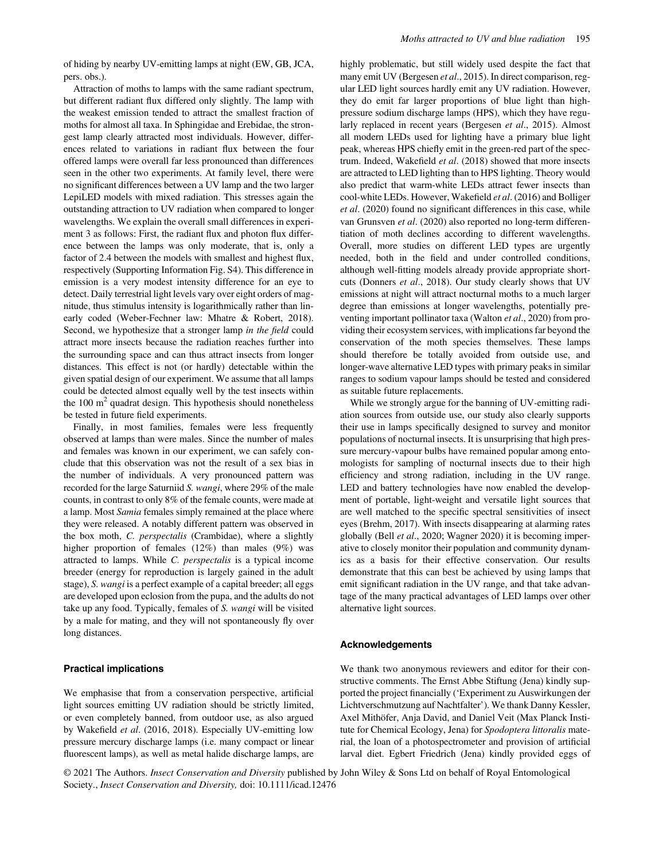of hiding by nearby UV-emitting lamps at night (EW, GB, JCA, pers. obs.).

Attraction of moths to lamps with the same radiant spectrum, but different radiant flux differed only slightly. The lamp with the weakest emission tended to attract the smallest fraction of moths for almost all taxa. In Sphingidae and Erebidae, the strongest lamp clearly attracted most individuals. However, differences related to variations in radiant flux between the four offered lamps were overall far less pronounced than differences seen in the other two experiments. At family level, there were no significant differences between a UV lamp and the two larger LepiLED models with mixed radiation. This stresses again the outstanding attraction to UV radiation when compared to longer wavelengths. We explain the overall small differences in experiment 3 as follows: First, the radiant flux and photon flux difference between the lamps was only moderate, that is, only a factor of 2.4 between the models with smallest and highest flux, respectively (Supporting Information Fig. S4). This difference in emission is a very modest intensity difference for an eye to detect. Daily terrestrial light levels vary over eight orders of magnitude, thus stimulus intensity is logarithmically rather than linearly coded (Weber-Fechner law: Mhatre & Robert, 2018). Second, we hypothesize that a stronger lamp in the field could attract more insects because the radiation reaches further into the surrounding space and can thus attract insects from longer distances. This effect is not (or hardly) detectable within the given spatial design of our experiment. We assume that all lamps could be detected almost equally well by the test insects within the  $100 \text{ m}^2$  quadrat design. This hypothesis should nonetheless be tested in future field experiments.

Finally, in most families, females were less frequently observed at lamps than were males. Since the number of males and females was known in our experiment, we can safely conclude that this observation was not the result of a sex bias in the number of individuals. A very pronounced pattern was recorded for the large Saturniid S. wangi, where 29% of the male counts, in contrast to only 8% of the female counts, were made at a lamp. Most Samia females simply remained at the place where they were released. A notably different pattern was observed in the box moth, C. perspectalis (Crambidae), where a slightly higher proportion of females (12%) than males (9%) was attracted to lamps. While C. perspectalis is a typical income breeder (energy for reproduction is largely gained in the adult stage), S. wangi is a perfect example of a capital breeder; all eggs are developed upon eclosion from the pupa, and the adults do not take up any food. Typically, females of S. wangi will be visited by a male for mating, and they will not spontaneously fly over long distances.

## Practical implications

We emphasise that from a conservation perspective, artificial light sources emitting UV radiation should be strictly limited, or even completely banned, from outdoor use, as also argued by Wakefield et al. (2016, 2018). Especially UV-emitting low pressure mercury discharge lamps (i.e. many compact or linear fluorescent lamps), as well as metal halide discharge lamps, are

highly problematic, but still widely used despite the fact that many emit UV (Bergesen et al., 2015). In direct comparison, regular LED light sources hardly emit any UV radiation. However, they do emit far larger proportions of blue light than highpressure sodium discharge lamps (HPS), which they have regularly replaced in recent years (Bergesen et al., 2015). Almost all modern LEDs used for lighting have a primary blue light peak, whereas HPS chiefly emit in the green-red part of the spectrum. Indeed, Wakefield et al. (2018) showed that more insects are attracted to LED lighting than to HPS lighting. Theory would also predict that warm-white LEDs attract fewer insects than cool-white LEDs. However, Wakefield et al. (2016) and Bolliger et al. (2020) found no significant differences in this case, while van Grunsven et al. (2020) also reported no long-term differentiation of moth declines according to different wavelengths. Overall, more studies on different LED types are urgently needed, both in the field and under controlled conditions, although well-fitting models already provide appropriate shortcuts (Donners et al., 2018). Our study clearly shows that UV emissions at night will attract nocturnal moths to a much larger degree than emissions at longer wavelengths, potentially preventing important pollinator taxa (Walton et al., 2020) from providing their ecosystem services, with implications far beyond the conservation of the moth species themselves. These lamps should therefore be totally avoided from outside use, and longer-wave alternative LED types with primary peaks in similar ranges to sodium vapour lamps should be tested and considered as suitable future replacements.

While we strongly argue for the banning of UV-emitting radiation sources from outside use, our study also clearly supports their use in lamps specifically designed to survey and monitor populations of nocturnal insects. It is unsurprising that high pressure mercury-vapour bulbs have remained popular among entomologists for sampling of nocturnal insects due to their high efficiency and strong radiation, including in the UV range. LED and battery technologies have now enabled the development of portable, light-weight and versatile light sources that are well matched to the specific spectral sensitivities of insect eyes (Brehm, 2017). With insects disappearing at alarming rates globally (Bell et al., 2020; Wagner 2020) it is becoming imperative to closely monitor their population and community dynamics as a basis for their effective conservation. Our results demonstrate that this can best be achieved by using lamps that emit significant radiation in the UV range, and that take advantage of the many practical advantages of LED lamps over other alternative light sources.

## Acknowledgements

We thank two anonymous reviewers and editor for their constructive comments. The Ernst Abbe Stiftung (Jena) kindly supported the project financially ('Experiment zu Auswirkungen der Lichtverschmutzung auf Nachtfalter'). We thank Danny Kessler, Axel Mithöfer, Anja David, and Daniel Veit (Max Planck Institute for Chemical Ecology, Jena) for Spodoptera littoralis material, the loan of a photospectrometer and provision of artificial larval diet. Egbert Friedrich (Jena) kindly provided eggs of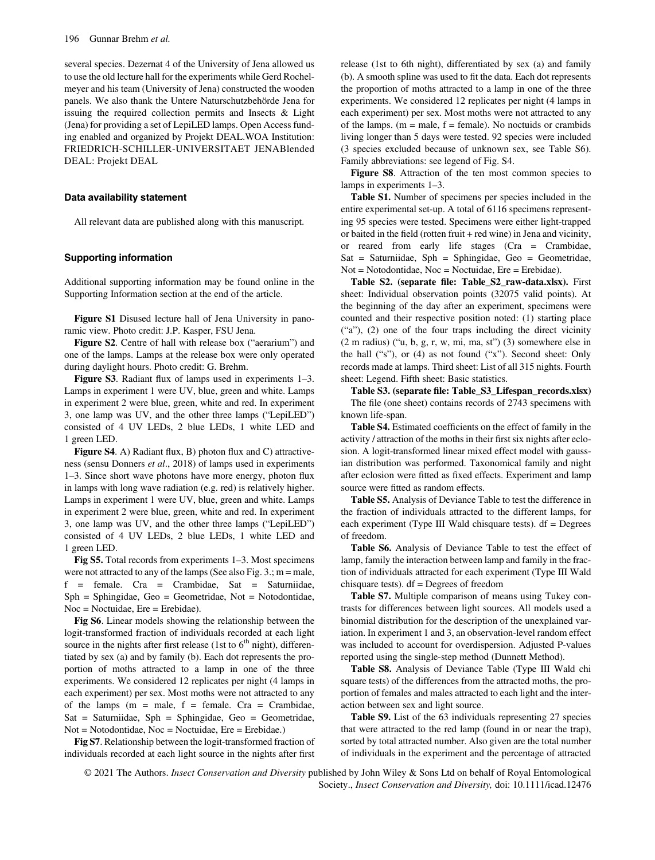several species. Dezernat 4 of the University of Jena allowed us to use the old lecture hall for the experiments while Gerd Rochelmeyer and his team (University of Jena) constructed the wooden panels. We also thank the Untere Naturschutzbehörde Jena for issuing the required collection permits and Insects & Light (Jena) for providing a set of LepiLED lamps. Open Access funding enabled and organized by Projekt DEAL.WOA Institution: FRIEDRICH-SCHILLER-UNIVERSITAET JENABlended DEAL: Projekt DEAL

## Data availability statement

All relevant data are published along with this manuscript.

## Supporting information

Additional supporting information may be found online in the Supporting Information section at the end of the article.

Figure S1 Disused lecture hall of Jena University in panoramic view. Photo credit: J.P. Kasper, FSU Jena.

Figure S2. Centre of hall with release box ("aerarium") and one of the lamps. Lamps at the release box were only operated during daylight hours. Photo credit: G. Brehm.

Figure S3. Radiant flux of lamps used in experiments 1–3. Lamps in experiment 1 were UV, blue, green and white. Lamps in experiment 2 were blue, green, white and red. In experiment 3, one lamp was UV, and the other three lamps ("LepiLED") consisted of 4 UV LEDs, 2 blue LEDs, 1 white LED and 1 green LED.

Figure S4. A) Radiant flux, B) photon flux and C) attractiveness (sensu Donners et al., 2018) of lamps used in experiments 1–3. Since short wave photons have more energy, photon flux in lamps with long wave radiation (e.g. red) is relatively higher. Lamps in experiment 1 were UV, blue, green and white. Lamps in experiment 2 were blue, green, white and red. In experiment 3, one lamp was UV, and the other three lamps ("LepiLED") consisted of 4 UV LEDs, 2 blue LEDs, 1 white LED and 1 green LED.

Fig S5. Total records from experiments 1–3. Most specimens were not attracted to any of the lamps (See also Fig.  $3$ .; m = male, f = female. Cra = Crambidae, Sat = Saturniidae, Sph = Sphingidae, Geo = Geometridae, Not = Notodontidae, Noc = Noctuidae, Ere = Erebidae).

Fig S6. Linear models showing the relationship between the logit-transformed fraction of individuals recorded at each light source in the nights after first release (1st to  $6<sup>th</sup>$  night), differentiated by sex (a) and by family (b). Each dot represents the proportion of moths attracted to a lamp in one of the three experiments. We considered 12 replicates per night (4 lamps in each experiment) per sex. Most moths were not attracted to any of the lamps  $(m = male, f = female. Cra = Crambidae,$ Sat = Saturniidae, Sph = Sphingidae, Geo = Geometridae, Not = Notodontidae, Noc = Noctuidae, Ere = Erebidae.)

Fig S7. Relationship between the logit-transformed fraction of individuals recorded at each light source in the nights after first

release (1st to 6th night), differentiated by sex (a) and family (b). A smooth spline was used to fit the data. Each dot represents the proportion of moths attracted to a lamp in one of the three experiments. We considered 12 replicates per night (4 lamps in each experiment) per sex. Most moths were not attracted to any of the lamps.  $(m = male, f = female)$ . No noctuids or crambids living longer than 5 days were tested. 92 species were included (3 species excluded because of unknown sex, see Table S6). Family abbreviations: see legend of Fig. S4.

Figure S8. Attraction of the ten most common species to lamps in experiments 1–3.

Table S1. Number of specimens per species included in the entire experimental set-up. A total of 6116 specimens representing 95 species were tested. Specimens were either light-trapped or baited in the field (rotten fruit + red wine) in Jena and vicinity, or reared from early life stages (Cra = Crambidae, Sat = Saturniidae, Sph = Sphingidae, Geo = Geometridae, Not = Notodontidae, Noc = Noctuidae, Ere = Erebidae).

Table S2. (separate file: Table\_S2\_raw-data.xlsx). First sheet: Individual observation points (32075 valid points). At the beginning of the day after an experiment, specimens were counted and their respective position noted: (1) starting place ("a"), (2) one of the four traps including the direct vicinity (2 m radius) ("u, b, g, r, w, mi, ma, st") (3) somewhere else in the hall ("s"), or (4) as not found ("x"). Second sheet: Only records made at lamps. Third sheet: List of all 315 nights. Fourth sheet: Legend. Fifth sheet: Basic statistics.

Table S3. (separate file: Table\_S3\_Lifespan\_records.xlsx) The file (one sheet) contains records of 2743 specimens with known life-span.

Table S4. Estimated coefficients on the effect of family in the activity / attraction of the moths in their first six nights after eclosion. A logit-transformed linear mixed effect model with gaussian distribution was performed. Taxonomical family and night after eclosion were fitted as fixed effects. Experiment and lamp source were fitted as random effects.

Table S5. Analysis of Deviance Table to test the difference in the fraction of individuals attracted to the different lamps, for each experiment (Type III Wald chisquare tests). df = Degrees of freedom.

Table S6. Analysis of Deviance Table to test the effect of lamp, family the interaction between lamp and family in the fraction of individuals attracted for each experiment (Type III Wald chisquare tests). df = Degrees of freedom

Table S7. Multiple comparison of means using Tukey contrasts for differences between light sources. All models used a binomial distribution for the description of the unexplained variation. In experiment 1 and 3, an observation-level random effect was included to account for overdispersion. Adjusted P-values reported using the single-step method (Dunnett Method).

Table S8. Analysis of Deviance Table (Type III Wald chi square tests) of the differences from the attracted moths, the proportion of females and males attracted to each light and the interaction between sex and light source.

Table S9. List of the 63 individuals representing 27 species that were attracted to the red lamp (found in or near the trap), sorted by total attracted number. Also given are the total number of individuals in the experiment and the percentage of attracted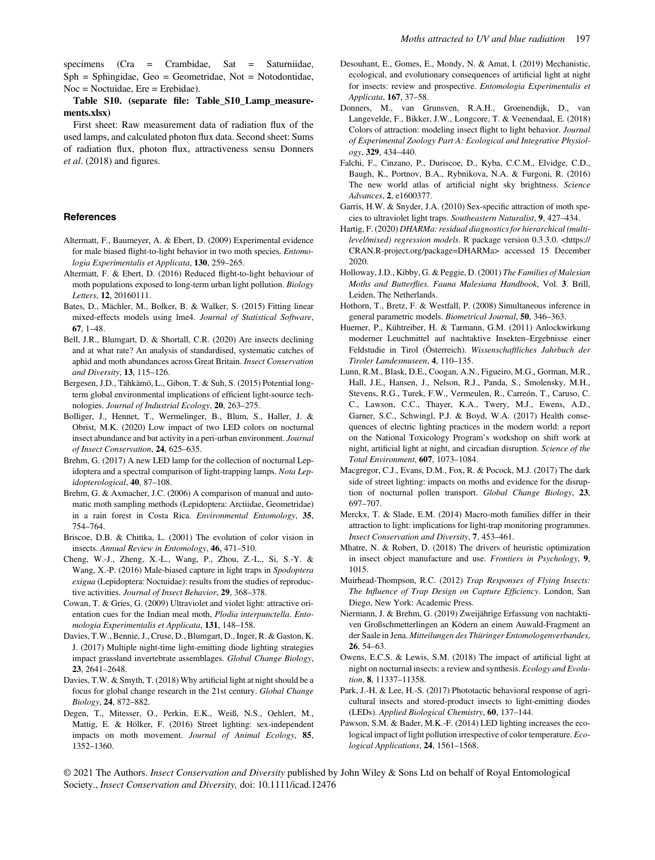specimens (Cra = Crambidae, Sat = Saturniidae,  $Sph = Sphingidae$ ,  $Geo = Geometridae$ ,  $Not = Notodontidae$ , Noc = Noctuidae, Ere = Erebidae).

Table S10. (separate file: Table\_S10\_Lamp\_measurements.xlsx)

First sheet: Raw measurement data of radiation flux of the used lamps, and calculated photon flux data. Second sheet: Sums of radiation flux, photon flux, attractiveness sensu Donners et al. (2018) and figures.

#### References

- Altermatt, F., Baumeyer, A. & Ebert, D. (2009) Experimental evidence for male biased flight-to-light behavior in two moth species. Entomologia Experimentalis et Applicata, 130, 259–265.
- Altermatt, F. & Ebert, D. (2016) Reduced flight-to-light behaviour of moth populations exposed to long-term urban light pollution. Biology Letters, 12, 20160111.
- Bates, D., Mächler, M., Bolker, B. & Walker, S. (2015) Fitting linear mixed-effects models using lme4. Journal of Statistical Software, 67, 1–48.
- Bell, J.R., Blumgart, D. & Shortall, C.R. (2020) Are insects declining and at what rate? An analysis of standardised, systematic catches of aphid and moth abundances across Great Britain. Insect Conservation and Diversity, 13, 115–126.
- Bergesen, J.D., Tähkämö, L., Gibon, T. & Suh, S. (2015) Potential longterm global environmental implications of efficient light-source technologies. Journal of Industrial Ecology, 20, 263–275.
- Bolliger, J., Hennet, T., Wermelinger, B., Blum, S., Haller, J. & Obrist, M.K. (2020) Low impact of two LED colors on nocturnal insect abundance and bat activity in a peri-urban environment. Journal of Insect Conservation, 24, 625–635.
- Brehm, G. (2017) A new LED lamp for the collection of nocturnal Lepidoptera and a spectral comparison of light-trapping lamps. Nota Lepidopterological, 40, 87–108.
- Brehm, G. & Axmacher, J.C. (2006) A comparison of manual and automatic moth sampling methods (Lepidoptera: Arctiidae, Geometridae) in a rain forest in Costa Rica. Environmental Entomology, 35, 754–764.
- Briscoe, D.B. & Chittka, L. (2001) The evolution of color vision in insects. Annual Review in Entomology, 46, 471–510.
- Cheng, W.-J., Zheng, X.-L., Wang, P., Zhou, Z.-L., Si, S.-Y. & Wang, X.-P. (2016) Male-biased capture in light traps in Spodoptera exigua (Lepidoptera: Noctuidae): results from the studies of reproductive activities. Journal of Insect Behavior, 29, 368–378.
- Cowan, T. & Gries, G. (2009) Ultraviolet and violet light: attractive orientation cues for the Indian meal moth, Plodia interpunctella. Entomologia Experimentalis et Applicata, 131, 148–158.
- Davies, T.W., Bennie, J., Cruse, D., Blumgart, D., Inger, R. & Gaston, K. J. (2017) Multiple night-time light-emitting diode lighting strategies impact grassland invertebrate assemblages. Global Change Biology, 23, 2641–2648.
- Davies, T.W. & Smyth, T. (2018) Why artificial light at night should be a focus for global change research in the 21st century. Global Change Biology, 24, 872–882.
- Degen, T., Mitesser, O., Perkin, E.K., Weiß, N.S., Oehlert, M., Mattig, E. & Hölker, F. (2016) Street lighting: sex-independent impacts on moth movement. Journal of Animal Ecology, 85, 1352–1360.
- Desouhant, E., Gomes, E., Mondy, N. & Amat, I. (2019) Mechanistic, ecological, and evolutionary consequences of artificial light at night for insects: review and prospective. Entomologia Experimentalis et Applicata, 167, 37–58.
- Donners, M., van Grunsven, R.A.H., Groenendijk, D., van Langevelde, F., Bikker, J.W., Longcore, T. & Veenendaal, E. (2018) Colors of attraction: modeling insect flight to light behavior. Journal of Experimental Zoology Part A: Ecological and Integrative Physiology, 329, 434–440.
- Falchi, F., Cinzano, P., Duriscoe, D., Kyba, C.C.M., Elvidge, C.D., Baugh, K., Portnov, B.A., Rybnikova, N.A. & Furgoni, R. (2016) The new world atlas of artificial night sky brightness. Science Advances, 2, e1600377.
- Garris, H.W. & Snyder, J.A. (2010) Sex-specific attraction of moth species to ultraviolet light traps. Southeastern Naturalist, 9, 427–434.
- Hartig, F. (2020) DHARMa: residual diagnostics for hierarchical (multilevel/mixed) regression models. R package version 0.3.3.0. <[https://](https://CRAN.R-project.org/package=DHARMa) [CRAN.R-project.org/package=DHARMa](https://CRAN.R-project.org/package=DHARMa)> accessed 15 December 2020.
- Holloway, J.D., Kibby, G. & Peggie, D. (2001) The Families of Malesian Moths and Butterflies. Fauna Malesiana Handbook, Vol. 3. Brill, Leiden, The Netherlands.
- Hothorn, T., Bretz, F. & Westfall, P. (2008) Simultaneous inference in general parametric models. Biometrical Journal, 50, 346–363.
- Huemer, P., Kühtreiber, H. & Tarmann, G.M. (2011) Anlockwirkung moderner Leuchmittel auf nachtaktive Insekten–Ergebnisse einer Feldstudie in Tirol (Österreich). Wissenschaftliches Jahrbuch der Tiroler Landesmuseen, 4, 110–135.
- Lunn, R.M., Blask, D.E., Coogan, A.N., Figueiro, M.G., Gorman, M.R., Hall, J.E., Hansen, J., Nelson, R.J., Panda, S., Smolensky, M.H., Stevens, R.G., Turek, F.W., Vermeulen, R., Carreón, T., Caruso, C. C., Lawson, C.C., Thayer, K.A., Twery, M.J., Ewens, A.D., Garner, S.C., Schwingl, P.J. & Boyd, W.A. (2017) Health consequences of electric lighting practices in the modern world: a report on the National Toxicology Program's workshop on shift work at night, artificial light at night, and circadian disruption. Science of the Total Environment, 607, 1073–1084.
- Macgregor, C.J., Evans, D.M., Fox, R. & Pocock, M.J. (2017) The dark side of street lighting: impacts on moths and evidence for the disruption of nocturnal pollen transport. Global Change Biology, 23, 697–707.
- Merckx, T. & Slade, E.M. (2014) Macro-moth families differ in their attraction to light: implications for light-trap monitoring programmes. Insect Conservation and Diversity, 7, 453–461.
- Mhatre, N. & Robert, D. (2018) The drivers of heuristic optimization in insect object manufacture and use. Frontiers in Psychology, 9, 1015.
- Muirhead-Thompson, R.C. (2012) Trap Responses of Flying Insects: The Influence of Trap Design on Capture Efficiency. London, San Diego, New York: Academic Press.
- Niermann, J. & Brehm, G. (2019) Zweijährige Erfassung von nachtaktiven Großschmetterlingen an Ködern an einem Auwald-Fragment an der Saale in Jena. Mitteilungen des Thüringer Entomologenverbandes, 26, 54–63.
- Owens, E.C.S. & Lewis, S.M. (2018) The impact of artificial light at night on nocturnal insects: a review and synthesis. Ecology and Evolution, 8, 11337–11358.
- Park, J.-H. & Lee, H.-S. (2017) Phototactic behavioral response of agricultural insects and stored-product insects to light-emitting diodes (LEDs). Applied Biological Chemistry, 60, 137–144.
- Pawson, S.M. & Bader, M.K.-F. (2014) LED lighting increases the ecological impact of light pollution irrespective of color temperature. Ecological Applications, 24, 1561–1568.